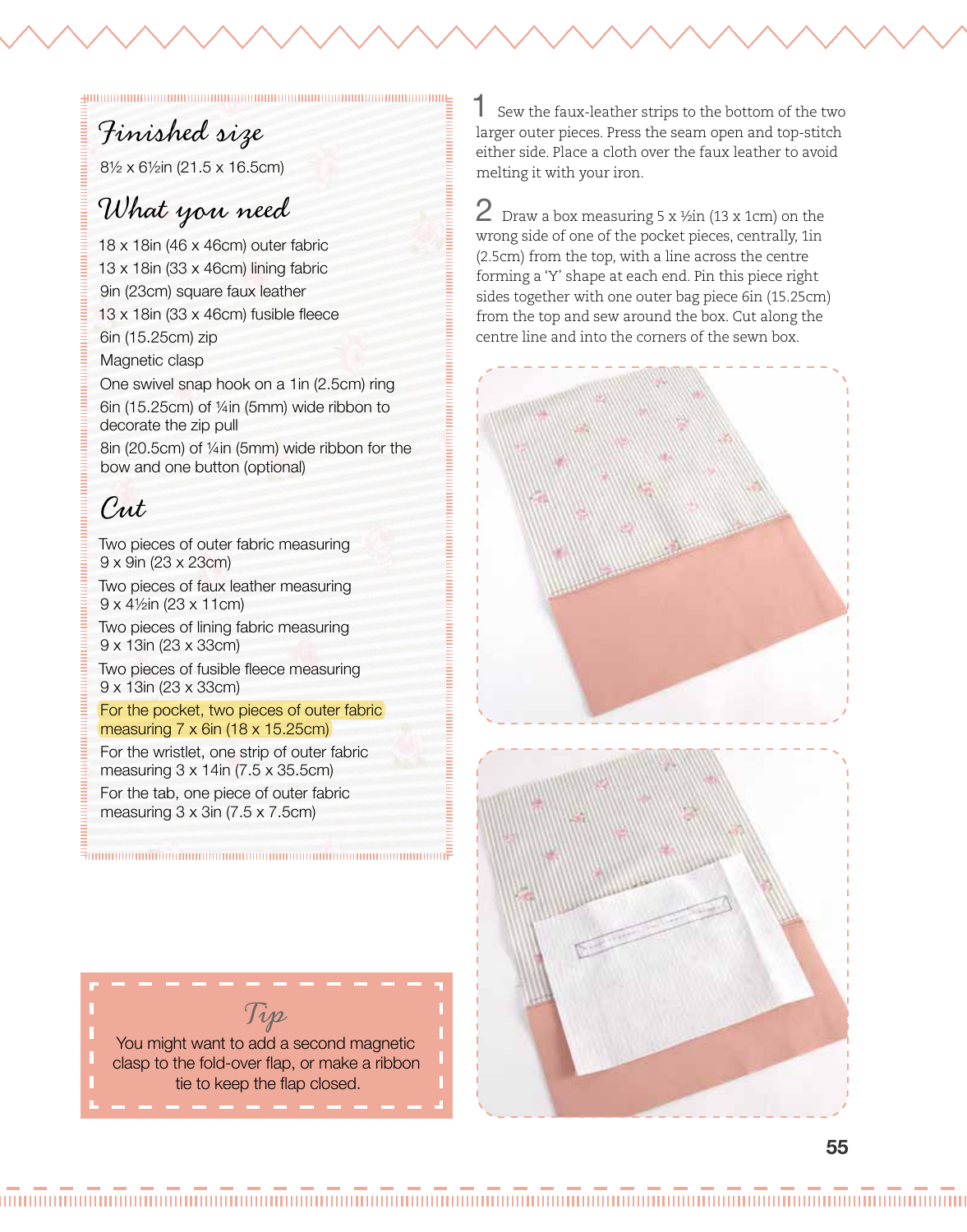## Finished size

8½ x 6½in (21.5 x 16.5cm)

### What you need

18 x 18in (46 x 46cm) outer fabric 13 x 18in (33 x 46cm) lining fabric 9in (23cm) square faux leather 13 x 18in (33 x 46cm) fusible fleece 6in (15.25cm) zip Magnetic clasp

One swivel snap hook on a 1in (2.5cm) ring 6in (15.25cm) of ¼in (5mm) wide ribbon to decorate the zip pull 8in (20.5cm) of ¼in (5mm) wide ribbon for the

bow and one button (optional)

# Cut

Two pieces of outer fabric measuring 9 x 9in (23 x 23cm)

Two pieces of faux leather measuring 9 x 4½in (23 x 11cm) Two pieces of lining fabric measuring 9 x 13in (23 x 33cm)

Two pieces of fusible fleece measuring 9 x 13in (23 x 33cm)

#### For the pocket, two pieces of outer fabric measuring 7 x 6in (18 x 15.25cm)

For the wristlet, one strip of outer fabric measuring 3 x 14in (7.5 x 35.5cm) For the tab, one piece of outer fabric measuring 3 x 3in (7.5 x 7.5cm)



1 Sew the faux-leather strips to the bottom of the two larger outer pieces. Press the seam open and top-stitch either side. Place a cloth over the faux leather to avoid melting it with your iron.

 $2$  Draw a box measuring 5 x  $\frac{1}{2}$  (13 x 1cm) on the wrong side of one of the pocket pieces, centrally, 1in (2.5cm) from the top, with a line across the centre forming a 'Y' shape at each end. Pin this piece right sides together with one outer bag piece 6in (15.25cm) from the top and sew around the box. Cut along the centre line and into the corners of the sewn box.